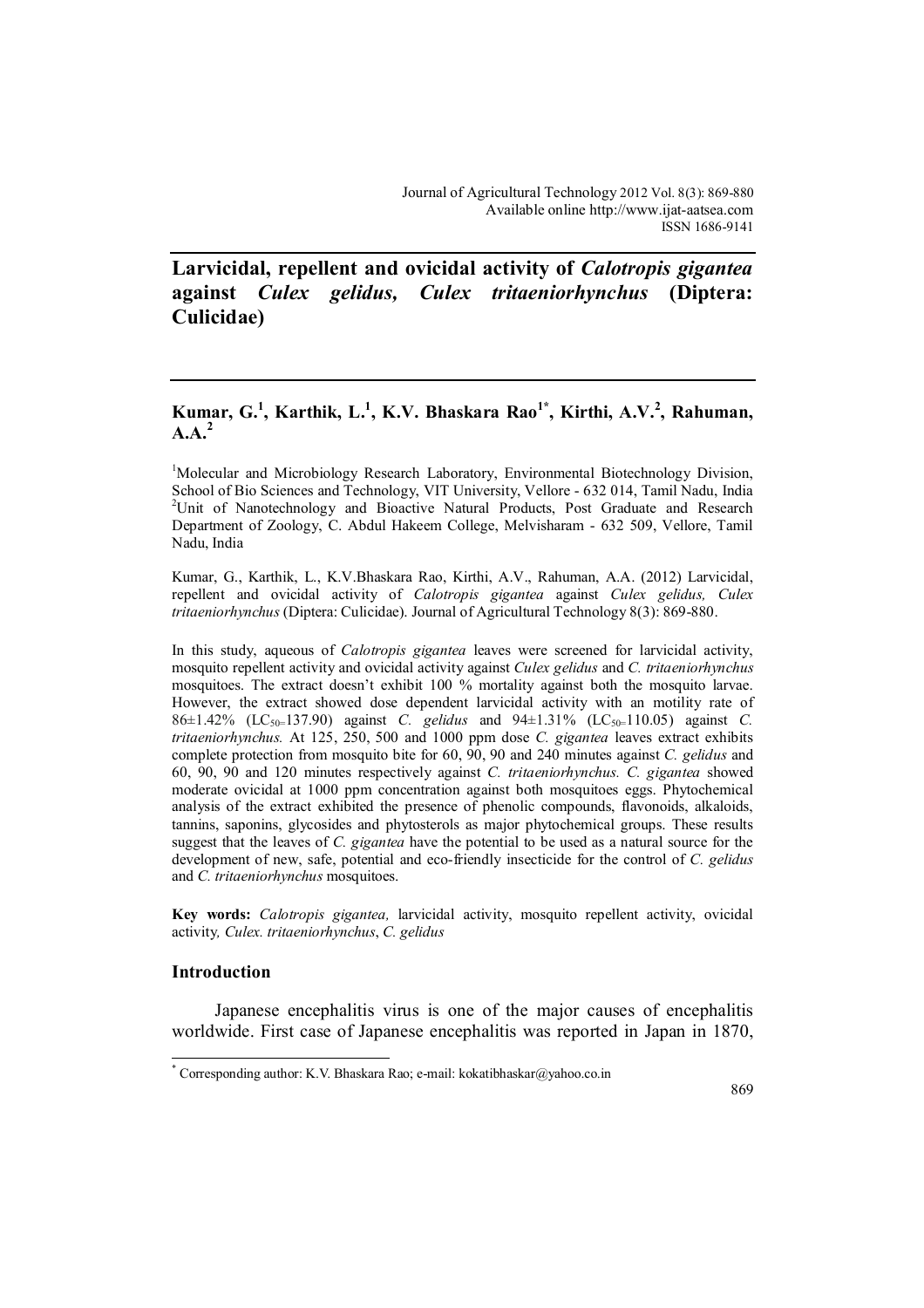**Larvicidal, repellent and ovicidal activity of** *Calotropis gigantea*  **against** *Culex gelidus, Culex tritaeniorhynchus* **(Diptera: Culicidae)**

# **Kumar, G.<sup>1</sup> , Karthik, L.<sup>1</sup> , K.V. Bhaskara Rao1\* , Kirthi, A.V.<sup>2</sup> , Rahuman, A.A.<sup>2</sup>**

<sup>1</sup>Molecular and Microbiology Research Laboratory, Environmental Biotechnology Division, School of Bio Sciences and Technology, VIT University, Vellore - 632 014, Tamil Nadu, India <sup>2</sup>Unit of Nanotechnology and Bioactive Natural Products, Post Graduate and Research Department of Zoology, C. Abdul Hakeem College, Melvisharam - 632 509, Vellore, Tamil Nadu, India

Kumar, G., Karthik, L., K.V.Bhaskara Rao, Kirthi, A.V., Rahuman, A.A. (2012) Larvicidal, repellent and ovicidal activity of *Calotropis gigantea* against *Culex gelidus, Culex tritaeniorhynchus* (Diptera: Culicidae). Journal of Agricultural Technology 8(3): 869-880.

In this study, aqueous of *Calotropis gigantea* leaves were screened for larvicidal activity, mosquito repellent activity and ovicidal activity against *Culex gelidus* and *C. tritaeniorhynchus*  mosquitoes. The extract doesn't exhibit 100 % mortality against both the mosquito larvae. However, the extract showed dose dependent larvicidal activity with an motility rate of 86±1.42% (LC50=137.90) against *C. gelidus* and 94±1.31% (LC50=110.05) against *C. tritaeniorhynchus.* At 125, 250, 500 and 1000 ppm dose *C. gigantea* leaves extract exhibits complete protection from mosquito bite for 60, 90, 90 and 240 minutes against *C. gelidus* and 60, 90, 90 and 120 minutes respectively against *C. tritaeniorhynchus. C. gigantea* showed moderate ovicidal at 1000 ppm concentration against both mosquitoes eggs. Phytochemical analysis of the extract exhibited the presence of phenolic compounds, flavonoids, alkaloids, tannins, saponins, glycosides and phytosterols as major phytochemical groups. These results suggest that the leaves of *C. gigantea* have the potential to be used as a natural source for the development of new, safe, potential and eco-friendly insecticide for the control of *C. gelidus* and *C. tritaeniorhynchus* mosquitoes.

**Key words:** *Calotropis gigantea,* larvicidal activity, mosquito repellent activity, ovicidal activity*, Culex. tritaeniorhynchus*, *C. gelidus*

### **Introduction**

 $\overline{a}$ 

Japanese encephalitis virus is one of the major causes of encephalitis worldwide. First case of Japanese encephalitis was reported in Japan in 1870,

<sup>\*</sup> Corresponding author: K.V. Bhaskara Rao; e-mail: kokatibhaskar@yahoo.co.in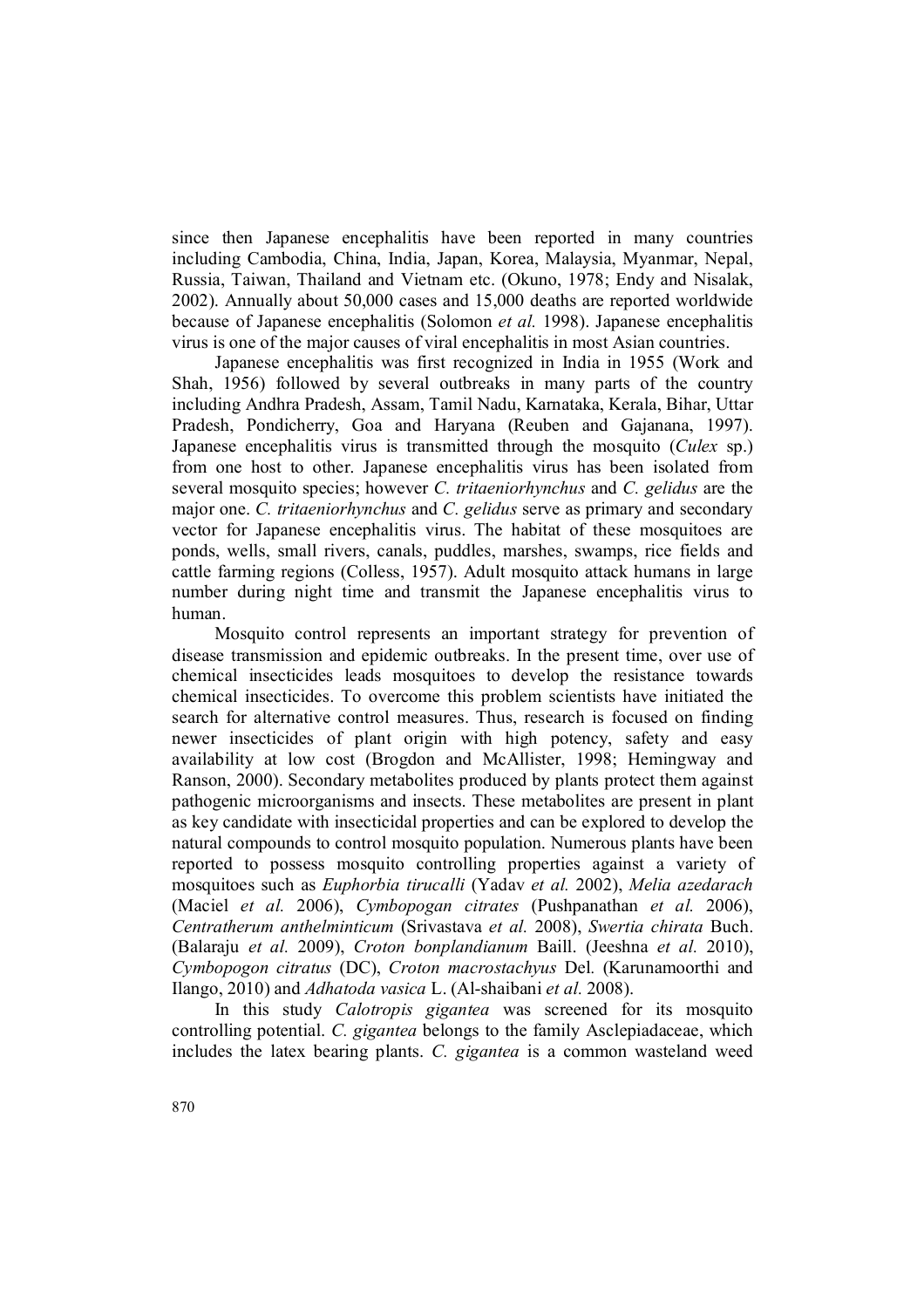since then Japanese encephalitis have been reported in many countries including Cambodia, China, India, Japan, Korea, Malaysia, Myanmar, Nepal, Russia, Taiwan, Thailand and Vietnam etc. (Okuno, 1978; Endy and Nisalak, 2002). Annually about 50,000 cases and 15,000 deaths are reported worldwide because of Japanese encephalitis (Solomon *et al.* 1998). Japanese encephalitis virus is one of the major causes of viral encephalitis in most Asian countries.

Japanese encephalitis was first recognized in India in 1955 (Work and Shah, 1956) followed by several outbreaks in many parts of the country including Andhra Pradesh, Assam, Tamil Nadu, Karnataka, Kerala, Bihar, Uttar Pradesh, Pondicherry, Goa and Haryana (Reuben and Gajanana, 1997). Japanese encephalitis virus is transmitted through the mosquito (*Culex* sp.) from one host to other. Japanese encephalitis virus has been isolated from several mosquito species; however *C. tritaeniorhynchus* and *C. gelidus* are the major one. *C. tritaeniorhynchus* and *C. gelidus* serve as primary and secondary vector for Japanese encephalitis virus. The habitat of these mosquitoes are ponds, wells, small rivers, canals, puddles, marshes, swamps, rice fields and cattle farming regions (Colless, 1957). Adult mosquito attack humans in large number during night time and transmit the Japanese encephalitis virus to human.

Mosquito control represents an important strategy for prevention of disease transmission and epidemic outbreaks. In the present time, over use of chemical insecticides leads mosquitoes to develop the resistance towards chemical insecticides. To overcome this problem scientists have initiated the search for alternative control measures. Thus, research is focused on finding newer insecticides of plant origin with high potency, safety and easy availability at low cost (Brogdon and McAllister, 1998; Hemingway and Ranson, 2000). Secondary metabolites produced by plants protect them against pathogenic microorganisms and insects. These metabolites are present in plant as key candidate with insecticidal properties and can be explored to develop the natural compounds to control mosquito population. Numerous plants have been reported to possess mosquito controlling properties against a variety of mosquitoes such as *Euphorbia tirucalli* (Yadav *et al.* 2002), *Melia azedarach* (Maciel *et al.* 2006), *Cymbopogan citrates* (Pushpanathan *et al.* 2006), *Centratherum anthelminticum* (Srivastava *et al.* 2008), *Swertia chirata* Buch. (Balaraju *et al.* 2009), *Croton bonplandianum* Baill. (Jeeshna *et al.* 2010), *Cymbopogon citratus* (DC), *Croton macrostachyus* Del*.* (Karunamoorthi and Ilango, 2010) and *Adhatoda vasica* L. (Al-shaibani *et al.* 2008).

In this study *Calotropis gigantea* was screened for its mosquito controlling potential. *C. gigantea* belongs to the family Asclepiadaceae, which includes the latex bearing plants. *C. gigantea* is a common wasteland weed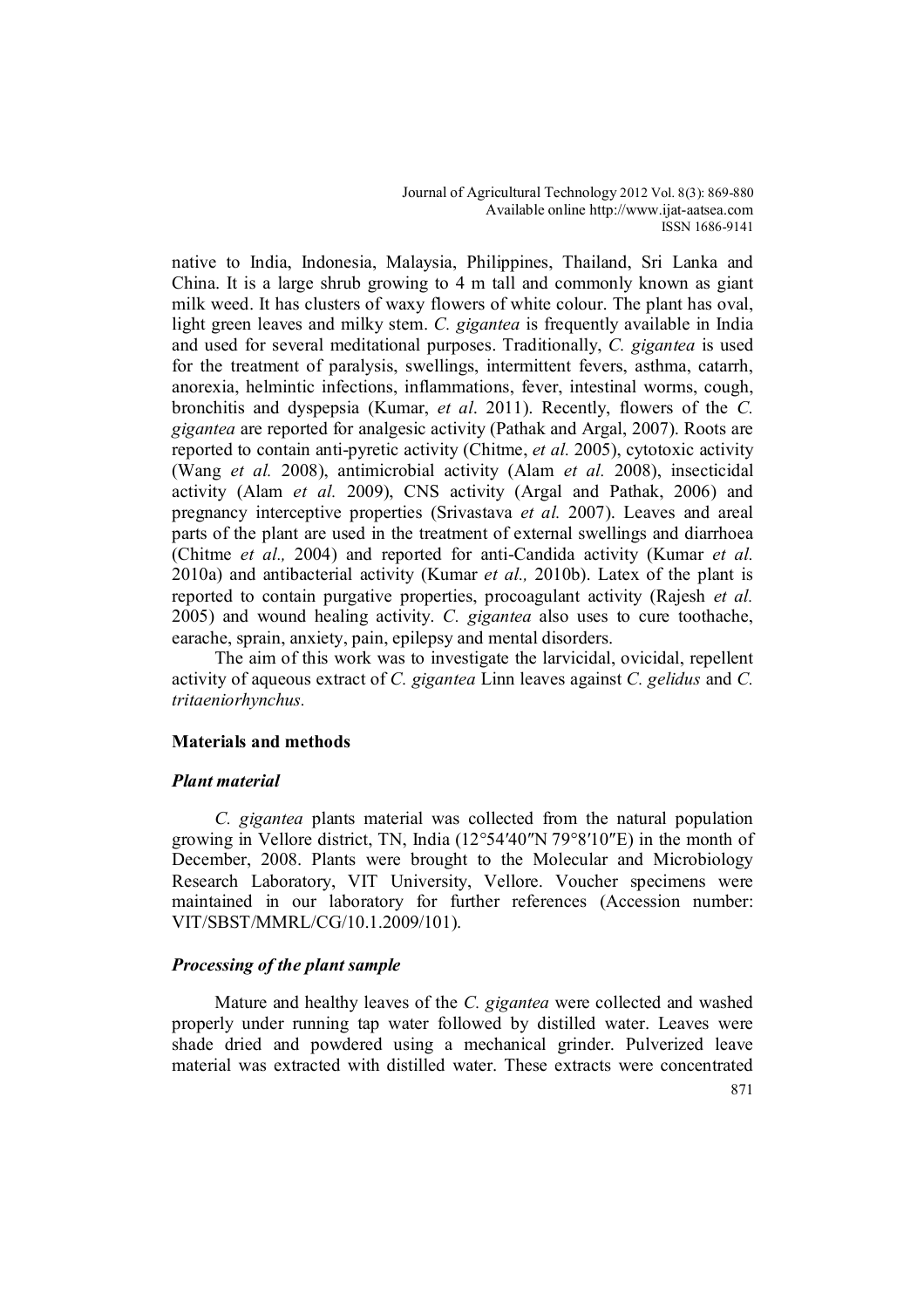native to India, Indonesia, Malaysia, Philippines, Thailand, Sri Lanka and China. It is a large shrub growing to 4 m tall and commonly known as giant milk weed. It has clusters of waxy flowers of white colour. The plant has oval, light green leaves and milky stem. *C. gigantea* is frequently available in India and used for several meditational purposes. Traditionally, *C. gigantea* is used for the treatment of paralysis, swellings, intermittent fevers, asthma, catarrh, anorexia, helmintic infections, inflammations, fever, intestinal worms, cough, bronchitis and dyspepsia (Kumar, *et al*. 2011). Recently, flowers of the *C. gigantea* are reported for analgesic activity (Pathak and Argal, 2007). Roots are reported to contain anti-pyretic activity (Chitme, *et al.* 2005), cytotoxic activity (Wang *et al.* 2008), antimicrobial activity (Alam *et al.* 2008), insecticidal activity (Alam *et al.* 2009), CNS activity (Argal and Pathak, 2006) and pregnancy interceptive properties (Srivastava *et al.* 2007). Leaves and areal parts of the plant are used in the treatment of external swellings and diarrhoea (Chitme *et al.,* 2004) and reported for anti-Candida activity (Kumar *et al.* 2010a) and antibacterial activity (Kumar *et al.,* 2010b). Latex of the plant is reported to contain purgative properties, procoagulant activity (Rajesh *et al.* 2005) and wound healing activity. *C. gigantea* also uses to cure toothache, earache, sprain, anxiety, pain, epilepsy and mental disorders.

The aim of this work was to investigate the larvicidal, ovicidal, repellent activity of aqueous extract of *C. gigantea* Linn leaves against *C. gelidus* and *C. tritaeniorhynchus.* 

## **Materials and methods**

## *Plant material*

*C. gigantea* plants material was collected from the natural population growing in Vellore district, TN, India (12°54′40″N 79°8′10″E) in the month of December, 2008. Plants were brought to the Molecular and Microbiology Research Laboratory, VIT University, Vellore. Voucher specimens were maintained in our laboratory for further references (Accession number: VIT/SBST/MMRL/CG/10.1.2009/101).

## *Processing of the plant sample*

Mature and healthy leaves of the *C. gigantea* were collected and washed properly under running tap water followed by distilled water. Leaves were shade dried and powdered using a mechanical grinder. Pulverized leave material was extracted with distilled water. These extracts were concentrated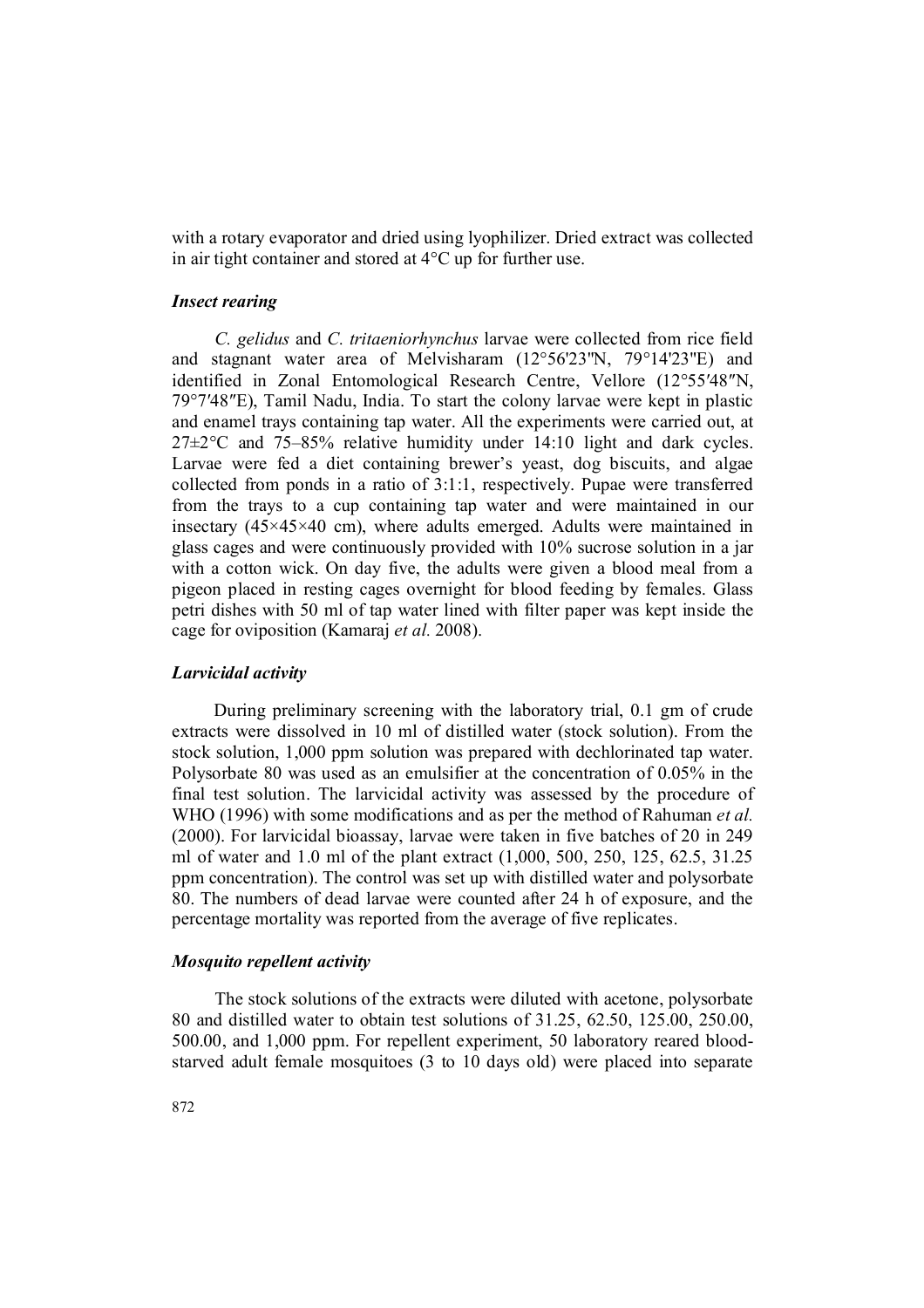with a rotary evaporator and dried using lyophilizer. Dried extract was collected in air tight container and stored at 4°C up for further use.

## *Insect rearing*

*C. gelidus* and *C. tritaeniorhynchus* larvae were collected from rice field and stagnant water area of Melvisharam (12°56'23"N, 79°14'23"E) and identified in Zonal Entomological Research Centre, Vellore (12°55′48″N, 79°7′48″E), Tamil Nadu, India. To start the colony larvae were kept in plastic and enamel trays containing tap water. All the experiments were carried out, at 27±2°C and 75–85% relative humidity under 14:10 light and dark cycles. Larvae were fed a diet containing brewer's yeast, dog biscuits, and algae collected from ponds in a ratio of 3:1:1, respectively. Pupae were transferred from the trays to a cup containing tap water and were maintained in our insectary  $(45\times45\times40$  cm), where adults emerged. Adults were maintained in glass cages and were continuously provided with 10% sucrose solution in a jar with a cotton wick. On day five, the adults were given a blood meal from a pigeon placed in resting cages overnight for blood feeding by females. Glass petri dishes with 50 ml of tap water lined with filter paper was kept inside the cage for oviposition (Kamaraj *et al.* 2008).

### *Larvicidal activity*

During preliminary screening with the laboratory trial, 0.1 gm of crude extracts were dissolved in 10 ml of distilled water (stock solution). From the stock solution, 1,000 ppm solution was prepared with dechlorinated tap water. Polysorbate 80 was used as an emulsifier at the concentration of 0.05% in the final test solution. The larvicidal activity was assessed by the procedure of WHO (1996) with some modifications and as per the method of Rahuman *et al.* (2000). For larvicidal bioassay, larvae were taken in five batches of 20 in 249 ml of water and 1.0 ml of the plant extract (1,000, 500, 250, 125, 62.5, 31.25 ppm concentration). The control was set up with distilled water and polysorbate 80. The numbers of dead larvae were counted after 24 h of exposure, and the percentage mortality was reported from the average of five replicates.

## *Mosquito repellent activity*

The stock solutions of the extracts were diluted with acetone, polysorbate 80 and distilled water to obtain test solutions of 31.25, 62.50, 125.00, 250.00, 500.00, and 1,000 ppm. For repellent experiment, 50 laboratory reared bloodstarved adult female mosquitoes (3 to 10 days old) were placed into separate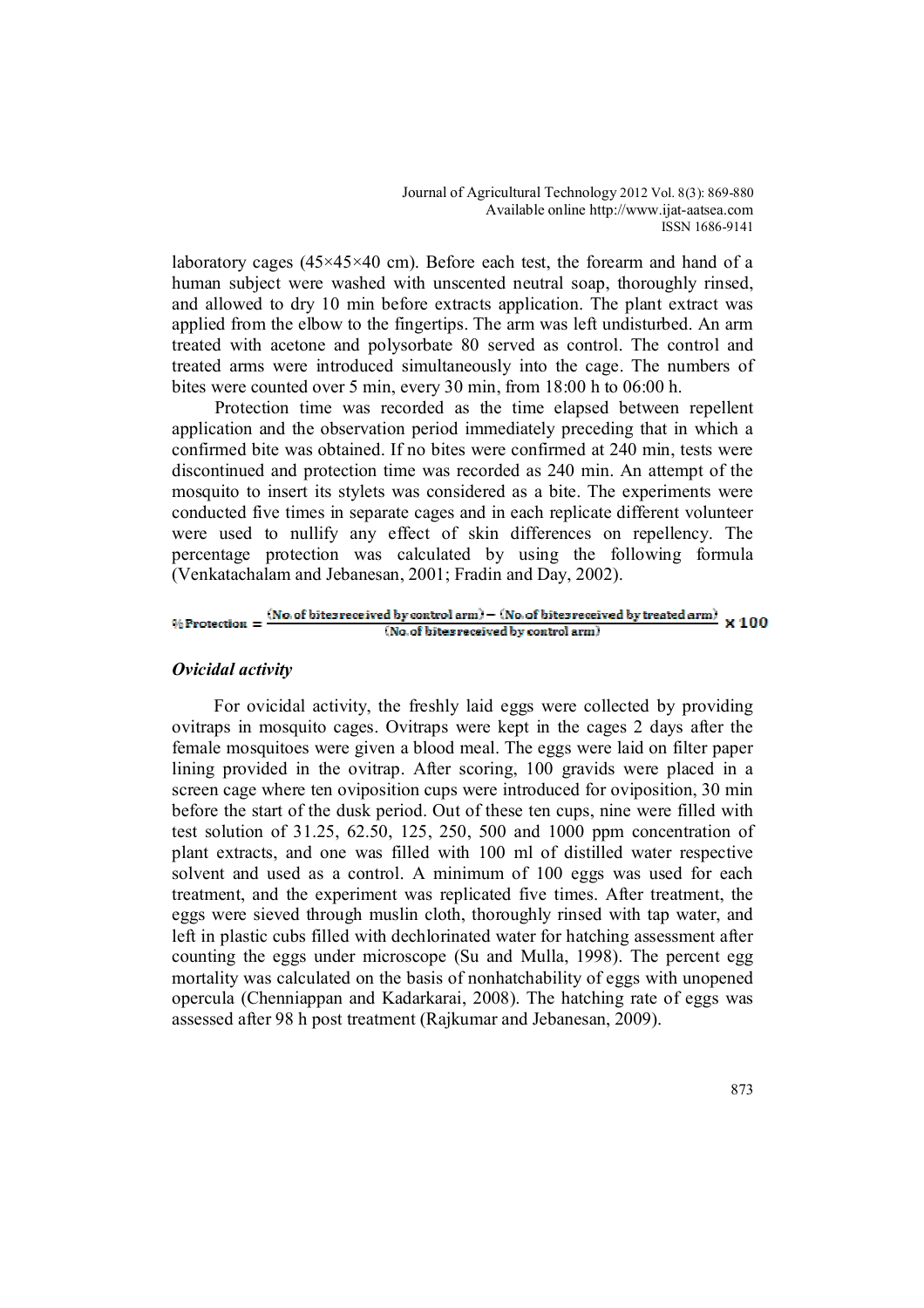laboratory cages ( $45\times45\times40$  cm). Before each test, the forearm and hand of a human subject were washed with unscented neutral soap, thoroughly rinsed, and allowed to dry 10 min before extracts application. The plant extract was applied from the elbow to the fingertips. The arm was left undisturbed. An arm treated with acetone and polysorbate 80 served as control. The control and treated arms were introduced simultaneously into the cage. The numbers of bites were counted over 5 min, every 30 min, from 18:00 h to 06:00 h.

Protection time was recorded as the time elapsed between repellent application and the observation period immediately preceding that in which a confirmed bite was obtained. If no bites were confirmed at 240 min, tests were discontinued and protection time was recorded as 240 min. An attempt of the mosquito to insert its stylets was considered as a bite. The experiments were conducted five times in separate cages and in each replicate different volunteer were used to nullify any effect of skin differences on repellency. The percentage protection was calculated by using the following formula (Venkatachalam and Jebanesan, 2001; Fradin and Day, 2002).

#### (No. of bites received by control arm) – (No. of bites received by treated arm)  $\times 100$  $%$  Protection = (No. of bites received by control arm)

### *Ovicidal activity*

For ovicidal activity, the freshly laid eggs were collected by providing ovitraps in mosquito cages. Ovitraps were kept in the cages 2 days after the female mosquitoes were given a blood meal. The eggs were laid on filter paper lining provided in the ovitrap. After scoring, 100 gravids were placed in a screen cage where ten oviposition cups were introduced for oviposition, 30 min before the start of the dusk period. Out of these ten cups, nine were filled with test solution of 31.25, 62.50, 125, 250, 500 and 1000 ppm concentration of plant extracts, and one was filled with 100 ml of distilled water respective solvent and used as a control. A minimum of 100 eggs was used for each treatment, and the experiment was replicated five times. After treatment, the eggs were sieved through muslin cloth, thoroughly rinsed with tap water, and left in plastic cubs filled with dechlorinated water for hatching assessment after counting the eggs under microscope (Su and Mulla, 1998). The percent egg mortality was calculated on the basis of nonhatchability of eggs with unopened opercula (Chenniappan and Kadarkarai, 2008). The hatching rate of eggs was assessed after 98 h post treatment (Rajkumar and Jebanesan, 2009).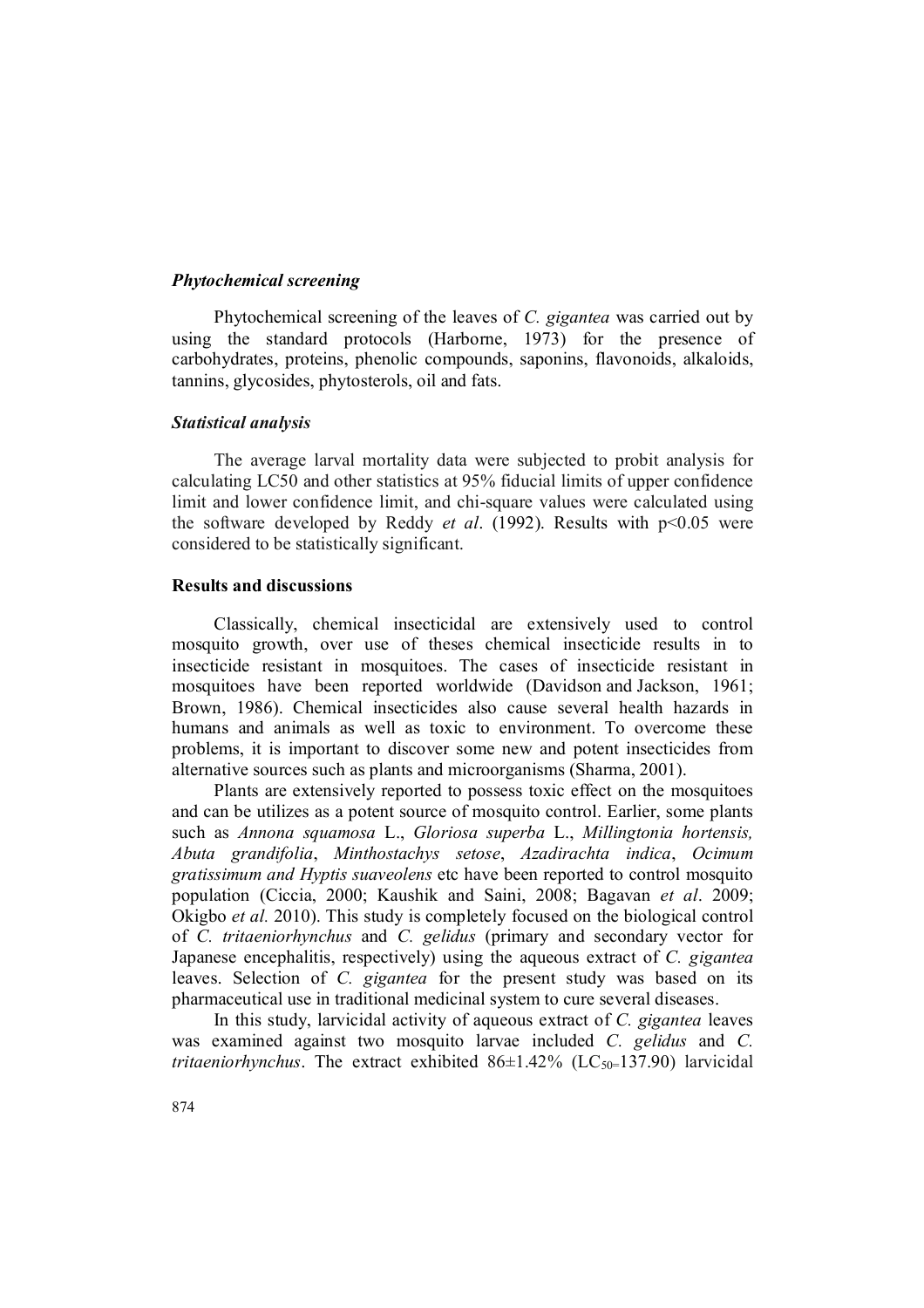## *Phytochemical screening*

Phytochemical screening of the leaves of *C. gigantea* was carried out by using the standard protocols (Harborne, 1973) for the presence of carbohydrates, proteins, phenolic compounds, saponins, flavonoids, alkaloids, tannins, glycosides, phytosterols, oil and fats.

### *Statistical analysis*

The average larval mortality data were subjected to probit analysis for calculating LC50 and other statistics at 95% fiducial limits of upper confidence limit and lower confidence limit, and chi-square values were calculated using the software developed by Reddy *et al*. (1992). Results with p<0.05 were considered to be statistically significant.

### **Results and discussions**

Classically, chemical insecticidal are extensively used to control mosquito growth, over use of theses chemical insecticide results in to insecticide resistant in mosquitoes. The cases of insecticide resistant in mosquitoes have been reported worldwide (Davidson and Jackson, 1961; Brown, 1986). Chemical insecticides also cause several health hazards in humans and animals as well as toxic to environment. To overcome these problems, it is important to discover some new and potent insecticides from alternative sources such as plants and microorganisms (Sharma, 2001).

Plants are extensively reported to possess toxic effect on the mosquitoes and can be utilizes as a potent source of mosquito control. Earlier, some plants such as *Annona squamosa* L., *Gloriosa superba* L., *Millingtonia hortensis, Abuta grandifolia*, *Minthostachys setose*, *Azadirachta indica*, *Ocimum gratissimum and Hyptis suaveolens* etc have been reported to control mosquito population (Ciccia, 2000; Kaushik and Saini, 2008; Bagavan *et al*. 2009; Okigbo *et al.* 2010). This study is completely focused on the biological control of *C. tritaeniorhynchus* and *C. gelidus* (primary and secondary vector for Japanese encephalitis, respectively) using the aqueous extract of *C. gigantea* leaves. Selection of *C. gigantea* for the present study was based on its pharmaceutical use in traditional medicinal system to cure several diseases.

In this study, larvicidal activity of aqueous extract of *C. gigantea* leaves was examined against two mosquito larvae included *C. gelidus* and *C. tritaeniorhynchus*. The extract exhibited  $86\pm1.42\%$  (LC<sub>50=</sub>137.90) larvicidal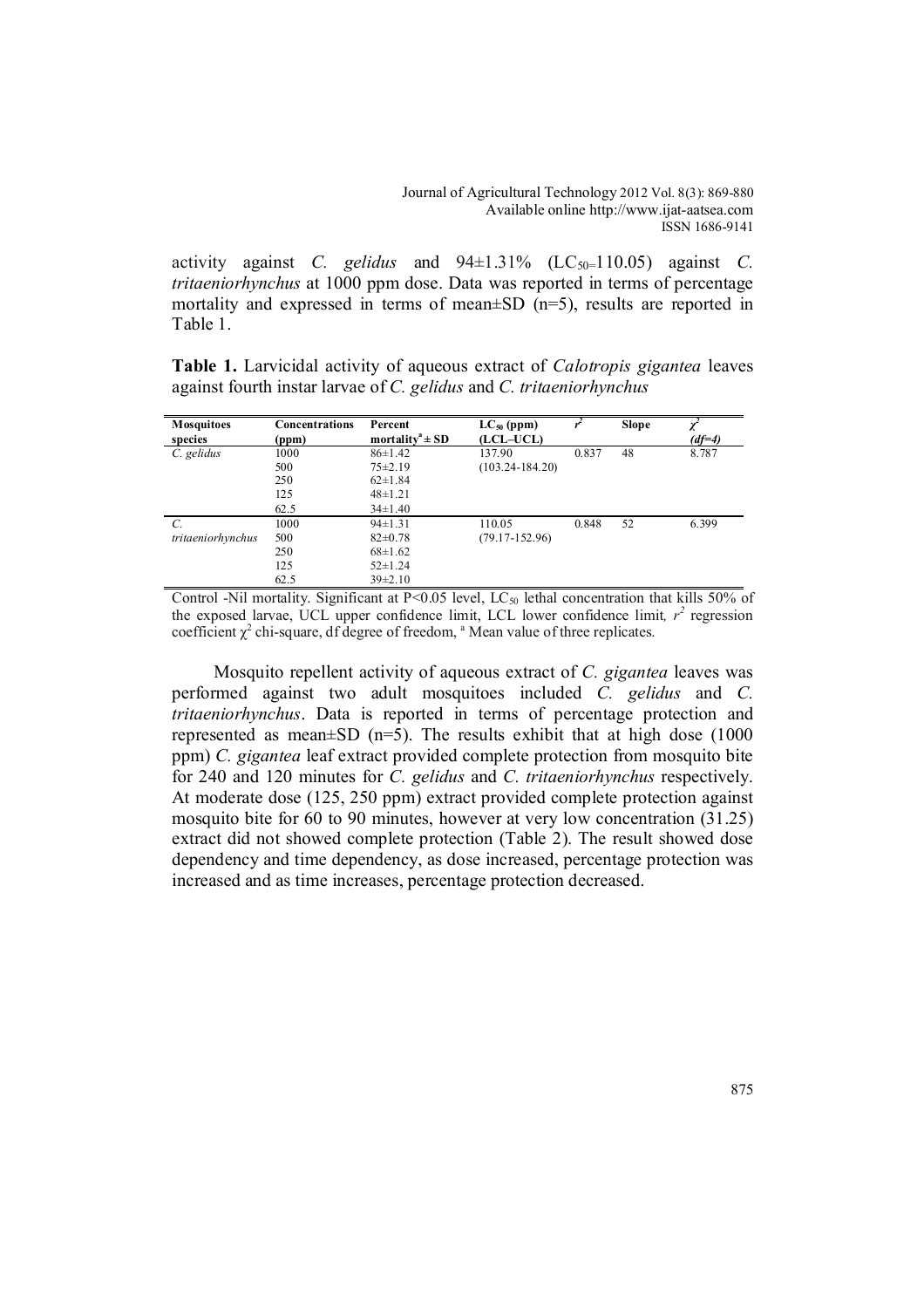activity against *C. gelidus* and  $94\pm1.31\%$  (LC<sub>50</sub>=110.05) against *C. tritaeniorhynchus* at 1000 ppm dose. Data was reported in terms of percentage mortality and expressed in terms of mean±SD (n=5), results are reported in Table 1.

**Table 1.** Larvicidal activity of aqueous extract of *Calotropis gigantea* leaves against fourth instar larvae of *C. gelidus* and *C. tritaeniorhynchus*

| <b>Mosquitoes</b> | <b>Concentrations</b> | Percent                         | $LC_{50}$ (ppm)     |       | <b>Slope</b> |          |
|-------------------|-----------------------|---------------------------------|---------------------|-------|--------------|----------|
| species           | (ppm)                 | mortality <sup>a</sup> $\pm$ SD | (LCL-UCL)           |       |              | $(df=4)$ |
| C. gelidus        | 1000                  | $86 \pm 1.42$                   | 137.90              | 0.837 | 48           | 8.787    |
|                   | 500                   | $75 \pm 2.19$                   | $(103.24 - 184.20)$ |       |              |          |
|                   | 250                   | $62 \pm 1.84$                   |                     |       |              |          |
|                   | 125                   | $48 \pm 1.21$                   |                     |       |              |          |
|                   | 62.5                  | $34\pm1.40$                     |                     |       |              |          |
| C.                | 1000                  | $94 \pm 1.31$                   | 110.05              | 0.848 | 52           | 6.399    |
| tritaeniorhynchus | 500                   | $82 \pm 0.78$                   | $(79.17 - 152.96)$  |       |              |          |
|                   | 250                   | $68 \pm 1.62$                   |                     |       |              |          |
|                   | 125                   | $52 \pm 1.24$                   |                     |       |              |          |
|                   | 62.5                  | $39\pm2.10$                     |                     |       |              |          |

Control -Nil mortality. Significant at P<0.05 level, LC<sub>50</sub> lethal concentration that kills 50% of the exposed larvae, UCL upper confidence limit, LCL lower confidence limit,  $r^2$  regression coefficient  $\chi^2$  chi-square, df degree of freedom, <sup>a</sup> Mean value of three replicates.

Mosquito repellent activity of aqueous extract of *C. gigantea* leaves was performed against two adult mosquitoes included *C. gelidus* and *C. tritaeniorhynchus*. Data is reported in terms of percentage protection and represented as mean $\pm$ SD (n=5). The results exhibit that at high dose (1000 ppm) *C. gigantea* leaf extract provided complete protection from mosquito bite for 240 and 120 minutes for *C. gelidus* and *C. tritaeniorhynchus* respectively. At moderate dose (125, 250 ppm) extract provided complete protection against mosquito bite for 60 to 90 minutes, however at very low concentration (31.25) extract did not showed complete protection (Table 2). The result showed dose dependency and time dependency, as dose increased, percentage protection was increased and as time increases, percentage protection decreased.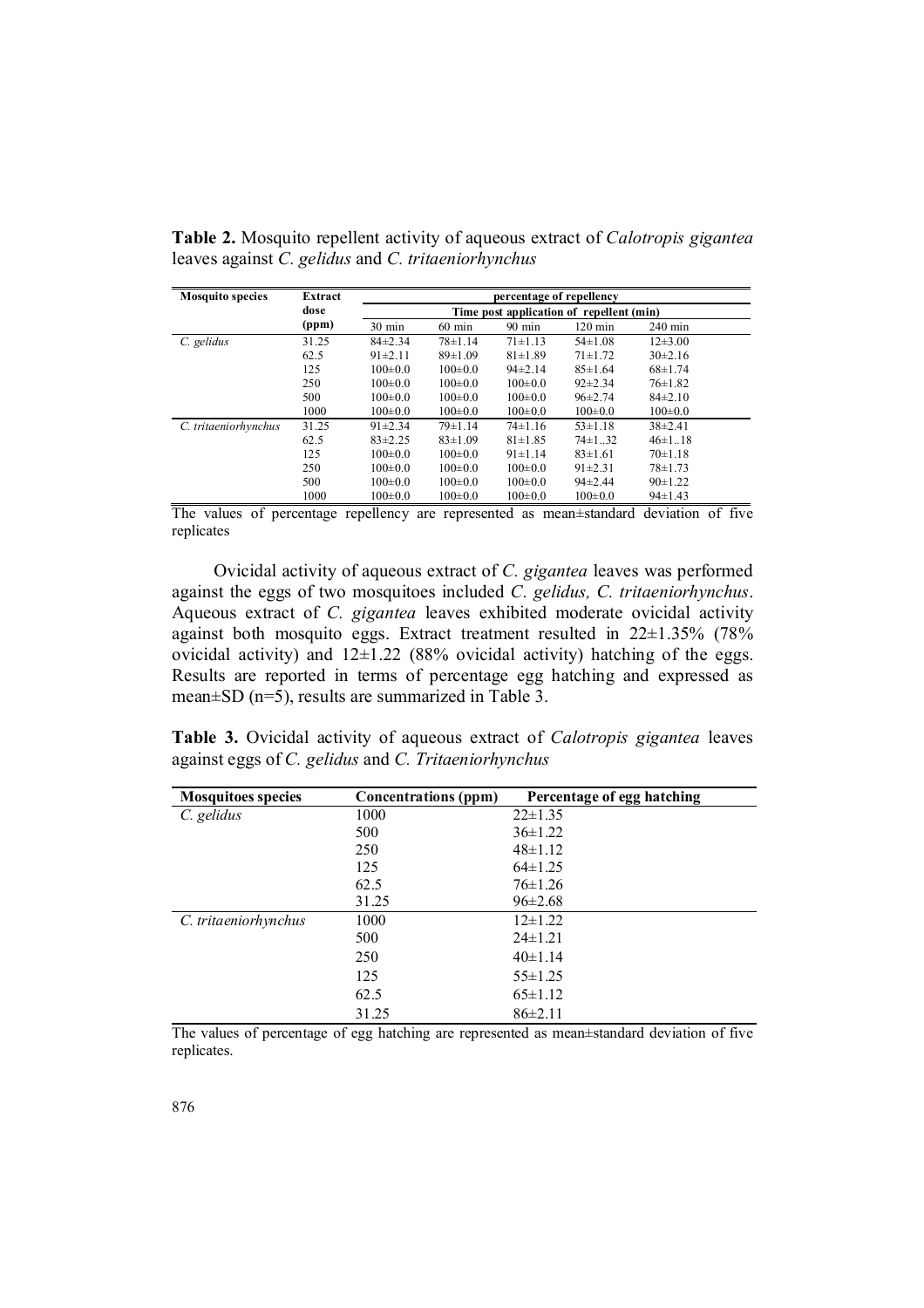| <b>Mosquito species</b> | Extract |                                          |                  | percentage of repellency |                   |               |  |
|-------------------------|---------|------------------------------------------|------------------|--------------------------|-------------------|---------------|--|
|                         | dose    | Time post application of repellent (min) |                  |                          |                   |               |  |
|                         | (ppm)   | $30 \text{ min}$                         | $60 \text{ min}$ | $90 \text{ min}$         | $120 \text{ min}$ | $240$ min     |  |
| C. gelidus              | 31.25   | $84\pm2.34$                              | $78 \pm 1.14$    | $71 \pm 1.13$            | $54\pm1.08$       | $12\pm3.00$   |  |
|                         | 62.5    | $91 \pm 2.11$                            | $89 \pm 1.09$    | $81 \pm 1.89$            | $71 \pm 1.72$     | $30\pm2.16$   |  |
|                         | 125     | $100 \pm 0.0$                            | $100 \pm 0.0$    | $94\pm2.14$              | $85 \pm 1.64$     | $68 \pm 1.74$ |  |
|                         | 250     | $100 \pm 0.0$                            | $100 \pm 0.0$    | $100 \pm 0.0$            | $92 \pm 2.34$     | $76 \pm 1.82$ |  |
|                         | 500     | $100 \pm 0.0$                            | $100 \pm 0.0$    | $100 \pm 0.0$            | $96 \pm 2.74$     | $84\pm2.10$   |  |
|                         | 1000    | $100 \pm 0.0$                            | $100 \pm 0.0$    | $100 \pm 0.0$            | $100 \pm 0.0$     | $100 \pm 0.0$ |  |
| C. tritaeniorhynchus    | 31.25   | $91 \pm 2.34$                            | $79 \pm 1.14$    | $74 \pm 1.16$            | $53 \pm 1.18$     | $38\pm2.41$   |  |
|                         | 62.5    | $83\pm2.25$                              | $83 \pm 1.09$    | $81 \pm 1.85$            | $74 \pm 1$ 32     | $46 \pm 1.18$ |  |
|                         | 125     | $100 \pm 0.0$                            | $100 \pm 0.0$    | $91 \pm 1.14$            | $83 \pm 1.61$     | $70 \pm 1.18$ |  |
|                         | 250     | $100 \pm 0.0$                            | $100 \pm 0.0$    | $100 \pm 0.0$            | $91\pm2.31$       | $78 \pm 1.73$ |  |
|                         | 500     | $100 \pm 0.0$                            | $100 \pm 0.0$    | $100 \pm 0.0$            | $94\pm2.44$       | $90 \pm 1.22$ |  |
|                         | 1000    | $100 \pm 0.0$                            | $100 \pm 0.0$    | $100 \pm 0.0$            | $100 \pm 0.0$     | $94 \pm 1.43$ |  |

**Table 2.** Mosquito repellent activity of aqueous extract of *Calotropis gigantea* leaves against *C. gelidus* and *C. tritaeniorhynchus* 

The values of percentage repellency are represented as mean±standard deviation of five replicates

Ovicidal activity of aqueous extract of *C. gigantea* leaves was performed against the eggs of two mosquitoes included *C. gelidus, C. tritaeniorhynchus*. Aqueous extract of *C. gigantea* leaves exhibited moderate ovicidal activity against both mosquito eggs. Extract treatment resulted in 22±1.35% (78% ovicidal activity) and  $12\pm1.22$  (88% ovicidal activity) hatching of the eggs. Results are reported in terms of percentage egg hatching and expressed as mean±SD (n=5), results are summarized in Table 3.

**Table 3.** Ovicidal activity of aqueous extract of *Calotropis gigantea* leaves against eggs of *C. gelidus* and *C. Tritaeniorhynchus*

| <b>Mosquitoes species</b> | <b>Concentrations (ppm)</b> | Percentage of egg hatching |
|---------------------------|-----------------------------|----------------------------|
| C. gelidus                | 1000                        | $22 \pm 1.35$              |
|                           | 500                         | $36 \pm 1.22$              |
|                           | 250                         | $48 \pm 1.12$              |
|                           | 125                         | $64\pm1.25$                |
|                           | 62.5                        | $76 \pm 1.26$              |
|                           | 31.25                       | $96 \pm 2.68$              |
| C. tritaeniorhynchus      | 1000                        | $12\pm1.22$                |
|                           | 500                         | $24 \pm 1.21$              |
|                           | 250                         | 40±1.14                    |
|                           | 125                         | $55 \pm 1.25$              |
|                           | 62.5                        | $65 \pm 1.12$              |
|                           | 31.25                       | $86\pm2.11$                |

The values of percentage of egg hatching are represented as mean±standard deviation of five replicates.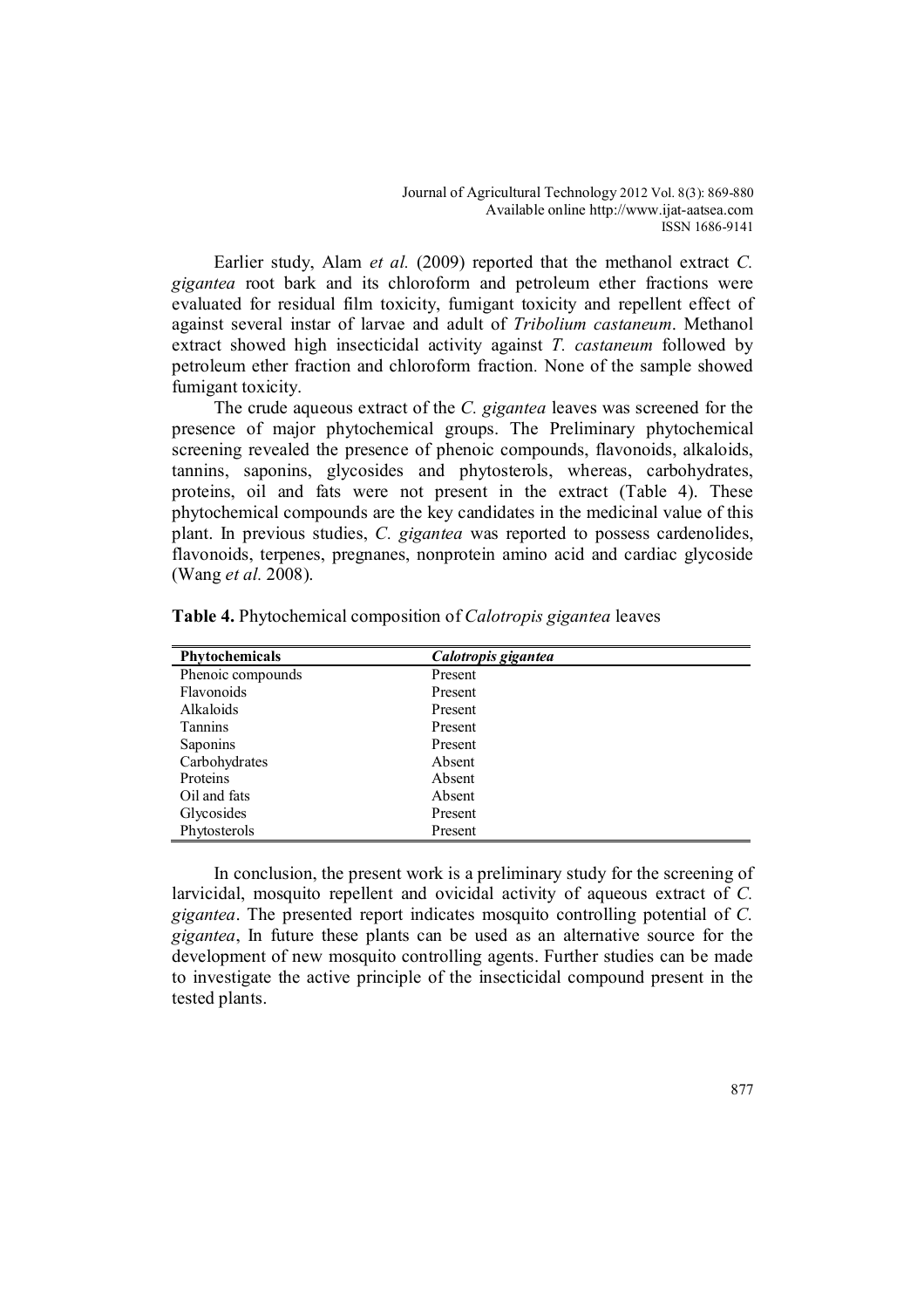Earlier study, Alam *et al.* (2009) reported that the methanol extract *C. gigantea* root bark and its chloroform and petroleum ether fractions were evaluated for residual film toxicity, fumigant toxicity and repellent effect of against several instar of larvae and adult of *Tribolium castaneum*. Methanol extract showed high insecticidal activity against *T. castaneum* followed by petroleum ether fraction and chloroform fraction*.* None of the sample showed fumigant toxicity.

The crude aqueous extract of the *C. gigantea* leaves was screened for the presence of major phytochemical groups. The Preliminary phytochemical screening revealed the presence of phenoic compounds, flavonoids, alkaloids, tannins, saponins, glycosides and phytosterols, whereas, carbohydrates, proteins, oil and fats were not present in the extract (Table 4). These phytochemical compounds are the key candidates in the medicinal value of this plant. In previous studies, *C. gigantea* was reported to possess cardenolides, flavonoids, terpenes, pregnanes, nonprotein amino acid and cardiac glycoside (Wang *et al.* 2008).

| Phytochemicals    | Calotropis gigantea |
|-------------------|---------------------|
| Phenoic compounds | Present             |
| Flavonoids        | Present             |
| Alkaloids         | Present             |
| <b>Tannins</b>    | Present             |
| Saponins          | Present             |
| Carbohydrates     | Absent              |
| Proteins          | Absent              |
| Oil and fats      | Absent              |
| Glycosides        | Present             |
| Phytosterols      | Present             |

**Table 4.** Phytochemical composition of *Calotropis gigantea* leaves

In conclusion, the present work is a preliminary study for the screening of larvicidal, mosquito repellent and ovicidal activity of aqueous extract of *C. gigantea*. The presented report indicates mosquito controlling potential of *C. gigantea*, In future these plants can be used as an alternative source for the development of new mosquito controlling agents. Further studies can be made to investigate the active principle of the insecticidal compound present in the tested plants.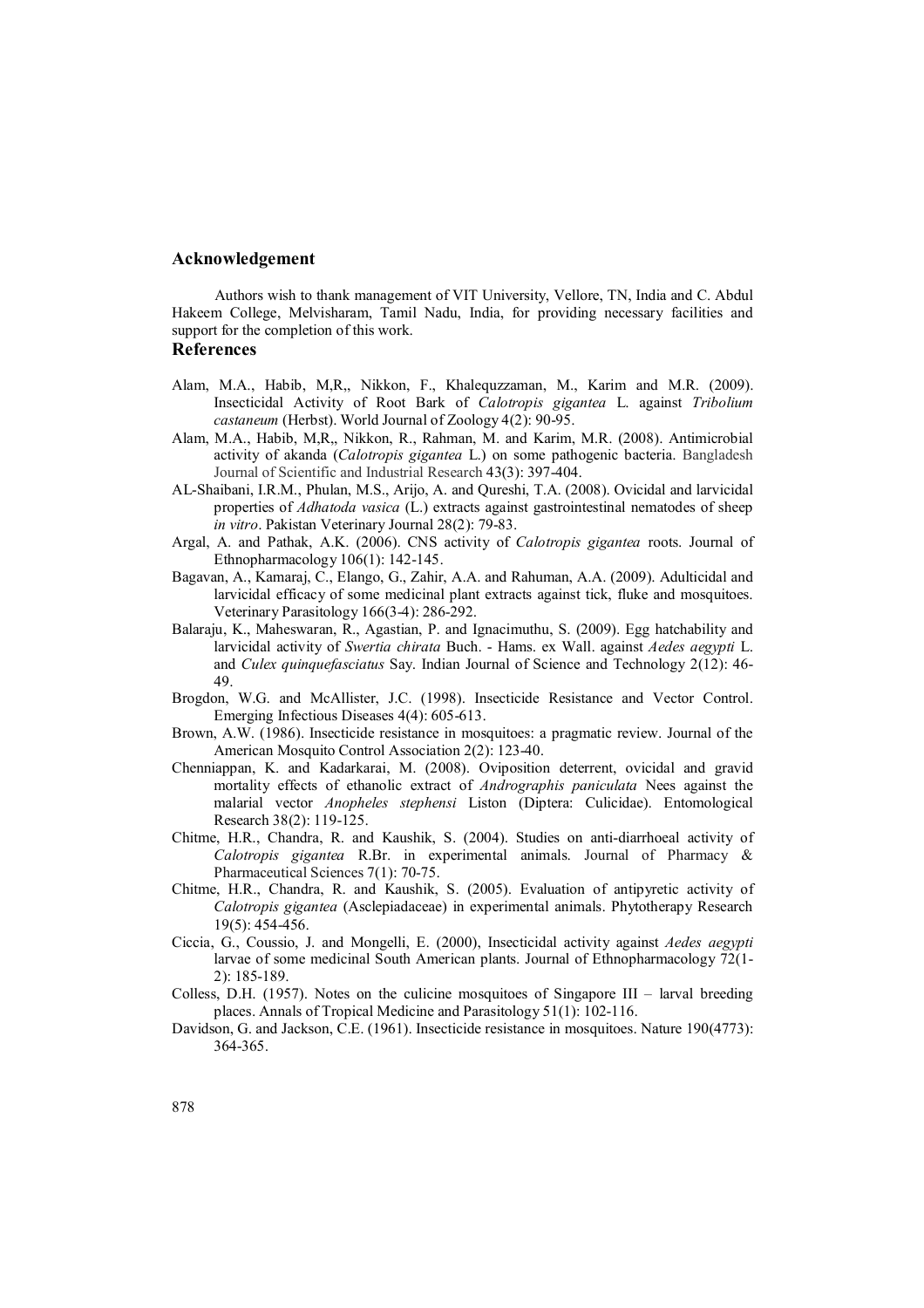### **Acknowledgement**

Authors wish to thank management of VIT University, Vellore, TN, India and C. Abdul Hakeem College, Melvisharam, Tamil Nadu, India, for providing necessary facilities and support for the completion of this work.

### **References**

- Alam, M.A., Habib, M,R,, Nikkon, F., Khalequzzaman, M., Karim and M.R. (2009). Insecticidal Activity of Root Bark of *Calotropis gigantea* L. against *Tribolium castaneum* (Herbst). World Journal of Zoology 4(2): 90-95.
- Alam, M.A., Habib, M,R,, Nikkon, R., Rahman, M. and Karim, M.R. (2008). Antimicrobial activity of akanda (*Calotropis gigantea* L.) on some pathogenic bacteria. Bangladesh Journal of Scientific and Industrial Research 43(3): 397-404.
- AL-Shaibani, I.R.M., Phulan, M.S., Arijo, A. and Qureshi, T.A. (2008). Ovicidal and larvicidal properties of *Adhatoda vasica* (L.) extracts against gastrointestinal nematodes of sheep *in vitro*. Pakistan Veterinary Journal 28(2): 79-83.
- Argal, A. and Pathak, A.K. (2006). CNS activity of *Calotropis gigantea* roots. Journal of Ethnopharmacology 106(1): 142-145.
- Bagavan, A., Kamaraj, C., Elango, G., Zahir, A.A. and Rahuman, A.A. (2009). Adulticidal and larvicidal efficacy of some medicinal plant extracts against tick, fluke and mosquitoes. Veterinary Parasitology 166(3-4): 286-292.
- Balaraju, K., Maheswaran, R., Agastian, P. and Ignacimuthu, S. (2009). Egg hatchability and larvicidal activity of *Swertia chirata* Buch. - Hams. ex Wall. against *Aedes aegypti* L. and *Culex quinquefasciatus* Say. Indian Journal of Science and Technology 2(12): 46- 49.
- Brogdon, W.G. and McAllister, J.C. (1998). Insecticide Resistance and Vector Control. Emerging Infectious Diseases 4(4): 605-613.
- Brown, A.W. (1986). Insecticide resistance in mosquitoes: a pragmatic review. Journal of the American Mosquito Control Association 2(2): 123-40.
- Chenniappan, K. and Kadarkarai, M. (2008). Oviposition deterrent, ovicidal and gravid mortality effects of ethanolic extract of *Andrographis paniculata* Nees against the malarial vector *Anopheles stephensi* Liston (Diptera: Culicidae). Entomological Research 38(2): 119-125.
- Chitme, H.R., Chandra, R. and Kaushik, S. (2004). Studies on anti-diarrhoeal activity of *Calotropis gigantea* R.Br. in experimental animals. Journal of Pharmacy & Pharmaceutical Sciences 7(1): 70-75.
- Chitme, H.R., Chandra, R. and Kaushik, S. (2005). Evaluation of antipyretic activity of *Calotropis gigantea* (Asclepiadaceae) in experimental animals. Phytotherapy Research 19(5): 454-456.
- Ciccia, G., Coussio, J. and Mongelli, E. (2000), Insecticidal activity against *Aedes aegypti*  larvae of some medicinal South American plants. Journal of Ethnopharmacology 72(1- 2): 185-189.
- Colless, D.H. (1957). Notes on the culicine mosquitoes of Singapore III larval breeding places. Annals of Tropical Medicine and Parasitology 51(1): 102-116.
- Davidson, G. and Jackson, C.E. (1961). Insecticide resistance in mosquitoes. Nature 190(4773): 364-365.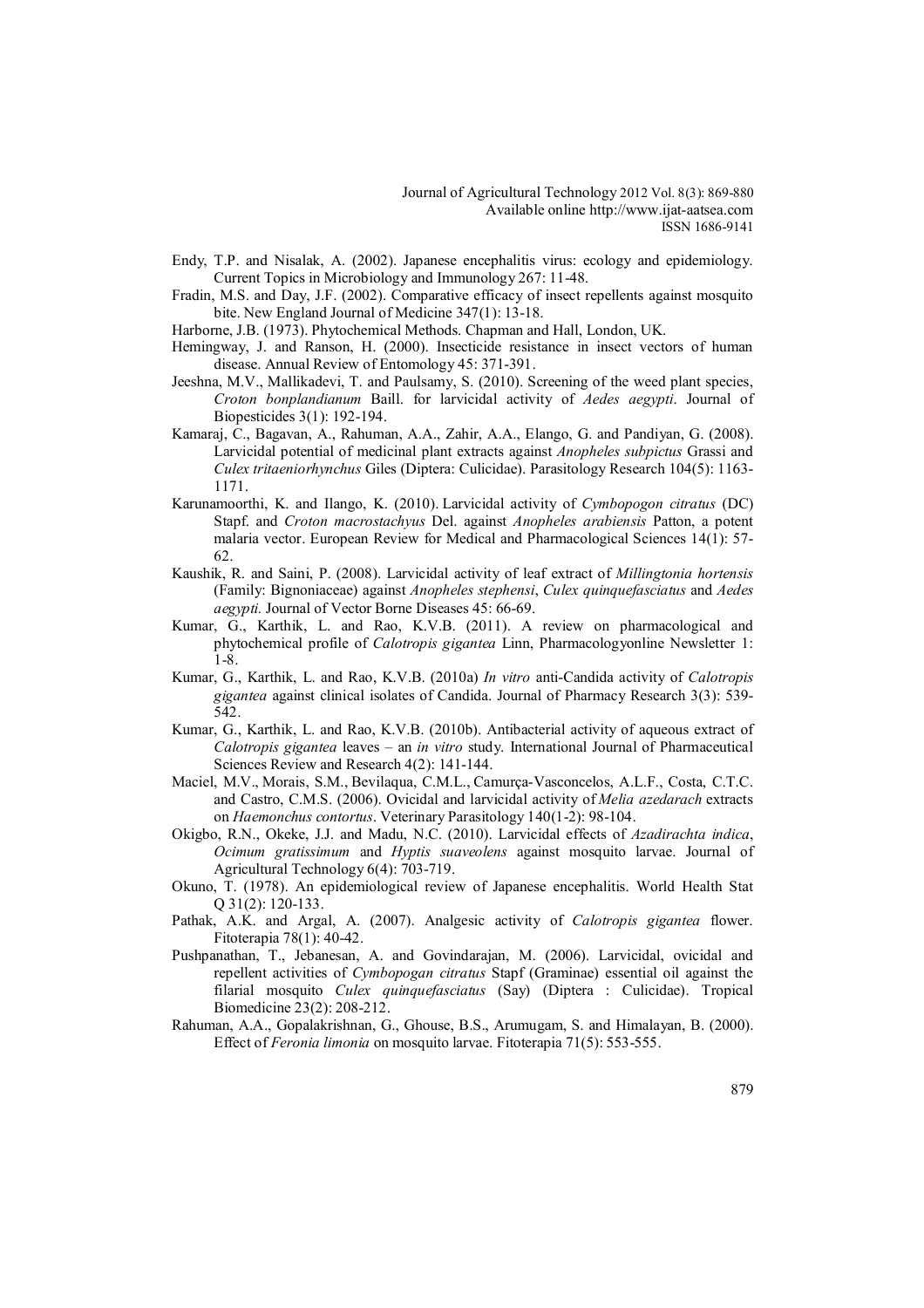- Endy, T.P. and Nisalak, A. (2002). Japanese encephalitis virus: ecology and epidemiology. Current Topics in Microbiology and Immunology 267: 11-48.
- Fradin, M.S. and Day, J.F. (2002). Comparative efficacy of insect repellents against mosquito bite. New England Journal of Medicine 347(1): 13-18.
- Harborne, J.B. (1973). Phytochemical Methods. Chapman and Hall, London, UK.
- Hemingway, J. and Ranson, H. (2000). Insecticide resistance in insect vectors of human disease. Annual Review of Entomology 45: 371-391.
- Jeeshna, M.V., Mallikadevi, T. and Paulsamy, S. (2010). Screening of the weed plant species, *Croton bonplandianum* Baill. for larvicidal activity of *Aedes aegypti*. Journal of Biopesticides 3(1): 192-194.
- Kamaraj, C., Bagavan, A., Rahuman, A.A., Zahir, A.A., Elango, G. and Pandiyan, G. (2008). Larvicidal potential of medicinal plant extracts against *Anopheles subpictus* Grassi and *Culex tritaeniorhynchus* Giles (Diptera: Culicidae). Parasitology Research 104(5): 1163- 1171.
- Karunamoorthi, K. and Ilango, K. (2010). Larvicidal activity of *Cymbopogon citratus* (DC) Stapf. and *Croton macrostachyus* Del. against *Anopheles arabiensis* Patton, a potent malaria vector. European Review for Medical and Pharmacological Sciences 14(1): 57- 62.
- Kaushik, R. and Saini, P. (2008). Larvicidal activity of leaf extract of *Millingtonia hortensis*  (Family: Bignoniaceae) against *Anopheles stephensi*, *Culex quinquefasciatus* and *Aedes aegypti.* Journal of Vector Borne Diseases 45: 66-69.
- Kumar, G., Karthik, L. and Rao, K.V.B. (2011). A review on pharmacological and phytochemical profile of *Calotropis gigantea* Linn, Pharmacologyonline Newsletter 1: 1-8.
- Kumar, G., Karthik, L. and Rao, K.V.B. (2010a) *In vitro* anti-Candida activity of *Calotropis gigantea* against clinical isolates of Candida. Journal of Pharmacy Research 3(3): 539- 542.
- Kumar, G., Karthik, L. and Rao, K.V.B. (2010b). Antibacterial activity of aqueous extract of *Calotropis gigantea* leaves – an *in vitro* study. International Journal of Pharmaceutical Sciences Review and Research 4(2): 141-144.
- Maciel, M.V., Morais, S.M., Bevilaqua, C.M.L., Camurça-Vasconcelos, A.L.F., Costa, C.T.C. and Castro, C.M.S. (2006). Ovicidal and larvicidal activity of *Melia azedarach* extracts on *Haemonchus contortus*. Veterinary Parasitology 140(1-2): 98-104.
- Okigbo, R.N., Okeke, J.J. and Madu, N.C. (2010). Larvicidal effects of *Azadirachta indica*, *Ocimum gratissimum* and *Hyptis suaveolens* against mosquito larvae. Journal of Agricultural Technology 6(4): 703-719.
- Okuno, T. (1978). An epidemiological review of Japanese encephalitis. World Health Stat Q 31(2): 120-133.
- Pathak, A.K. and Argal, A. (2007). Analgesic activity of *Calotropis gigantea* flower. Fitoterapia 78(1): 40-42.
- Pushpanathan, T., Jebanesan, A. and Govindarajan, M. (2006). Larvicidal, ovicidal and repellent activities of *Cymbopogan citratus* Stapf (Graminae) essential oil against the filarial mosquito *Culex quinquefasciatus* (Say) (Diptera : Culicidae). Tropical Biomedicine 23(2): 208-212.
- Rahuman, A.A., Gopalakrishnan, G., Ghouse, B.S., Arumugam, S. and Himalayan, B. (2000). Effect of *Feronia limonia* on mosquito larvae. Fitoterapia 71(5): 553-555.